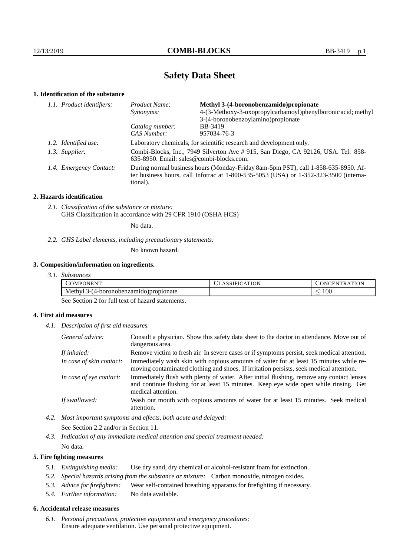# **Safety Data Sheet**

## **1. Identification of the substance**

| 1.1. Product identifiers: | Product Name:                                                                                                                                                                           | Methyl 3-(4-boronobenzamido) propionate                      |  |
|---------------------------|-----------------------------------------------------------------------------------------------------------------------------------------------------------------------------------------|--------------------------------------------------------------|--|
|                           | Synonyms:                                                                                                                                                                               | 4-(3-Methoxy-3-oxopropylcarbamoyl)phenylboronic acid; methyl |  |
|                           |                                                                                                                                                                                         | 3-(4-boronobenzoylamino) propionate                          |  |
|                           | Catalog number:                                                                                                                                                                         | BB-3419                                                      |  |
|                           | CAS Number:                                                                                                                                                                             | 957034-76-3                                                  |  |
| 1.2. Identified use:      | Laboratory chemicals, for scientific research and development only.                                                                                                                     |                                                              |  |
| 1.3. Supplier:            | Combi-Blocks, Inc., 7949 Silverton Ave # 915, San Diego, CA 92126, USA. Tel: 858-<br>$635-8950$ . Email: sales@combi-blocks.com.                                                        |                                                              |  |
| 1.4. Emergency Contact:   | During normal business hours (Monday-Friday 8am-5pm PST), call 1-858-635-8950. Af-<br>ter business hours, call Infotrac at 1-800-535-5053 (USA) or 1-352-323-3500 (interna-<br>tional). |                                                              |  |

## **2. Hazards identification**

*2.1. Classification of the substance or mixture:* GHS Classification in accordance with 29 CFR 1910 (OSHA HCS)

No data.

*2.2. GHS Label elements, including precautionary statements:*

No known hazard.

## **3. Composition/information on ingredients.**

*3.1. Substances*

| <b>COMPONENT</b>                            | 'ATION<br>ASSIFIU. | <b>FRATION</b><br>JNCEN |
|---------------------------------------------|--------------------|-------------------------|
| Methyl<br>3-(4-boronobenzamido<br>ropionate |                    | $100\,$                 |

See Section 2 for full text of hazard statements.

## **4. First aid measures**

*4.1. Description of first aid measures.*

| General advice:          | Consult a physician. Show this safety data sheet to the doctor in attendance. Move out of<br>dangerous area.                                                                                            |  |
|--------------------------|---------------------------------------------------------------------------------------------------------------------------------------------------------------------------------------------------------|--|
| If inhaled:              | Remove victim to fresh air. In severe cases or if symptoms persist, seek medical attention.                                                                                                             |  |
| In case of skin contact: | Immediately wash skin with copious amounts of water for at least 15 minutes while re-<br>moving contaminated clothing and shoes. If irritation persists, seek medical attention.                        |  |
| In case of eye contact:  | Immediately flush with plenty of water. After initial flushing, remove any contact lenses<br>and continue flushing for at least 15 minutes. Keep eye wide open while rinsing. Get<br>medical attention. |  |
| If swallowed:            | Wash out mouth with copious amounts of water for at least 15 minutes. Seek medical<br>attention.                                                                                                        |  |

*4.2. Most important symptoms and effects, both acute and delayed:*

See Section 2.2 and/or in Section 11.

*4.3. Indication of any immediate medical attention and special treatment needed:*

## No data.

## **5. Fire fighting measures**

- *5.1. Extinguishing media:* Use dry sand, dry chemical or alcohol-resistant foam for extinction.
- *5.2. Special hazards arising from the substance or mixture:* Carbon monoxide, nitrogen oxides.
- *5.3. Advice for firefighters:* Wear self-contained breathing apparatus for firefighting if necessary.
- *5.4. Further information:* No data available.

#### **6. Accidental release measures**

*6.1. Personal precautions, protective equipment and emergency procedures:* Ensure adequate ventilation. Use personal protective equipment.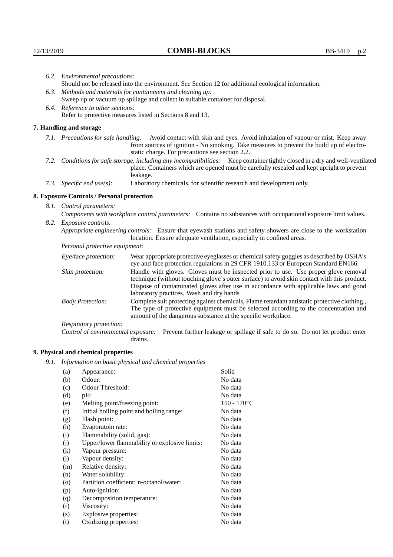|                                                           | 6.2. Environmental precautions:                                                                                                                                                                                                                                    |                                                                                                                                                                                                                                                                                                                        |  |  |
|-----------------------------------------------------------|--------------------------------------------------------------------------------------------------------------------------------------------------------------------------------------------------------------------------------------------------------------------|------------------------------------------------------------------------------------------------------------------------------------------------------------------------------------------------------------------------------------------------------------------------------------------------------------------------|--|--|
|                                                           |                                                                                                                                                                                                                                                                    | Should not be released into the environment. See Section 12 for additional ecological information.                                                                                                                                                                                                                     |  |  |
| 6.3.                                                      | Methods and materials for containment and cleaning up:                                                                                                                                                                                                             |                                                                                                                                                                                                                                                                                                                        |  |  |
|                                                           | Sweep up or vacuum up spillage and collect in suitable container for disposal.                                                                                                                                                                                     |                                                                                                                                                                                                                                                                                                                        |  |  |
|                                                           | 6.4. Reference to other sections:                                                                                                                                                                                                                                  |                                                                                                                                                                                                                                                                                                                        |  |  |
| Refer to protective measures listed in Sections 8 and 13. |                                                                                                                                                                                                                                                                    |                                                                                                                                                                                                                                                                                                                        |  |  |
|                                                           | 7. Handling and storage                                                                                                                                                                                                                                            |                                                                                                                                                                                                                                                                                                                        |  |  |
|                                                           | 7.1. Precautions for safe handling: Avoid contact with skin and eyes. Avoid inhalation of vapour or mist. Keep away<br>from sources of ignition - No smoking. Take measures to prevent the build up of electro-<br>static charge. For precautions see section 2.2. |                                                                                                                                                                                                                                                                                                                        |  |  |
|                                                           |                                                                                                                                                                                                                                                                    | 7.2. Conditions for safe storage, including any incompatibilities: Keep container tightly closed in a dry and well-ventilated<br>place. Containers which are opened must be carefully resealed and kept upright to prevent<br>leakage.                                                                                 |  |  |
|                                                           | 7.3. Specific end $use(s)$ :                                                                                                                                                                                                                                       | Laboratory chemicals, for scientific research and development only.                                                                                                                                                                                                                                                    |  |  |
|                                                           | 8. Exposure Controls / Personal protection                                                                                                                                                                                                                         |                                                                                                                                                                                                                                                                                                                        |  |  |
|                                                           | 8.1. Control parameters:                                                                                                                                                                                                                                           |                                                                                                                                                                                                                                                                                                                        |  |  |
|                                                           | Components with workplace control parameters: Contains no substances with occupational exposure limit values.                                                                                                                                                      |                                                                                                                                                                                                                                                                                                                        |  |  |
| 8.2.                                                      | <i>Exposure controls:</i>                                                                                                                                                                                                                                          |                                                                                                                                                                                                                                                                                                                        |  |  |
|                                                           |                                                                                                                                                                                                                                                                    | Appropriate engineering controls: Ensure that eyewash stations and safety showers are close to the workstation<br>location. Ensure adequate ventilation, especially in confined areas.                                                                                                                                 |  |  |
|                                                           | Personal protective equipment:                                                                                                                                                                                                                                     |                                                                                                                                                                                                                                                                                                                        |  |  |
|                                                           | Eye/face protection:                                                                                                                                                                                                                                               | Wear appropriate protective eyeglasses or chemical safety goggles as described by OSHA's<br>eye and face protection regulations in 29 CFR 1910.133 or European Standard EN166.                                                                                                                                         |  |  |
|                                                           | Skin protection:                                                                                                                                                                                                                                                   | Handle with gloves. Gloves must be inspected prior to use. Use proper glove removal<br>technique (without touching glove's outer surface) to avoid skin contact with this product.<br>Dispose of contaminated gloves after use in accordance with applicable laws and good<br>laboratory practices. Wash and dry hands |  |  |
|                                                           | <b>Body Protection:</b>                                                                                                                                                                                                                                            | Complete suit protecting against chemicals, Flame retardant antistatic protective clothing.,<br>The type of protective equipment must be selected according to the concentration and<br>amount of the dangerous substance at the specific workplace.                                                                   |  |  |
|                                                           | Respiratory protection:                                                                                                                                                                                                                                            |                                                                                                                                                                                                                                                                                                                        |  |  |
|                                                           |                                                                                                                                                                                                                                                                    |                                                                                                                                                                                                                                                                                                                        |  |  |

Control of environmental exposure: Prevent further leakage or spillage if safe to do so. Do not let product enter drains.

# **9. Physical and chemical properties**

*9.1. Information on basic physical and chemical properties*

| (a)                | Appearance:                                   | Solid          |
|--------------------|-----------------------------------------------|----------------|
| (b)                | Odour:                                        | No data        |
| (c)                | Odour Threshold:                              | No data        |
| (d)                | pH:                                           | No data        |
| (e)                | Melting point/freezing point:                 | $150 - 170$ °C |
| (f)                | Initial boiling point and boiling range:      | No data        |
| (g)                | Flash point:                                  | No data        |
| (h)                | Evaporatoin rate:                             | No data        |
| (i)                | Flammability (solid, gas):                    | No data        |
| (j)                | Upper/lower flammability or explosive limits: | No data        |
| (k)                | Vapour pressure:                              | No data        |
| (1)                | Vapour density:                               | No data        |
| (m)                | Relative density:                             | No data        |
| (n)                | Water solubility:                             | No data        |
| $\left( 0 \right)$ | Partition coefficient: n-octanol/water:       | No data        |
| (p)                | Auto-ignition:                                | No data        |
| (q)                | Decomposition temperature:                    | No data        |
| (r)                | Viscosity:                                    | No data        |
| (s)                | Explosive properties:                         | No data        |
| (t)                | Oxidizing properties:                         | No data        |